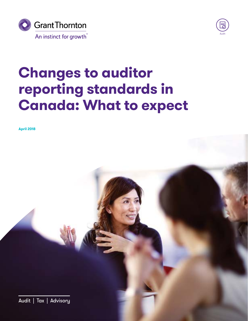



## **Changes to auditor reporting standards in Canada: What to expect**

**April 2018**

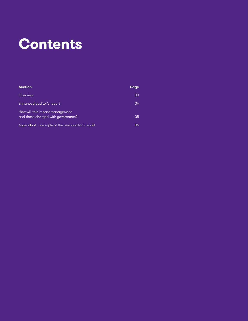## **Contents**

| <b>Section</b>                                                        | <b>Page</b> |
|-----------------------------------------------------------------------|-------------|
| Overview                                                              | 03          |
| Enhanced auditor's report                                             | 04          |
| How will this impact management<br>and those charged with governance? | 05          |
| Appendix $A$ – example of the new auditor's report                    | 06          |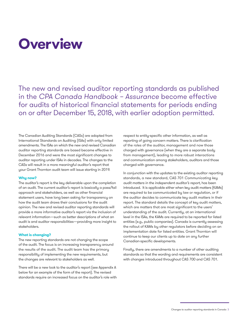### **Overview**

The new and revised auditor reporting standards as published in the *CPA Canada Handbook – Assurance* become effective for audits of historical financial statements for periods ending on or after December 15, 2018, with earlier adoption permitted.

The Canadian Auditing Standards (CASs) are adopted from International Standards on Auditing (ISAs) with only limited amendments. The ISAs on which the new and revised Canadian auditor reporting standards are based became effective in December 2016 and were the most significant changes to auditor reporting under ISAs in decades. The changes to the CASs will result in a more meaningful auditor's report that your Grant Thornton audit team will issue starting in 2019.

#### **Why now?**

The auditor's report is the key deliverable upon the completion of an audit. The current auditor's report is basically a pass/fail approach and stakeholders, as well as other financial statement users, have long been asking for transparency on how the audit team draws their conclusions for the audit opinion. The new and revised auditor reporting standards will provide a more informative auditor's report via the inclusion of relevant information—such as better descriptions of what an audit is and auditor responsibilities—providing more insight to stakeholders.

#### **What is changing?**

The new reporting standards are not changing the scope of the audit. The focus is on increasing transparency around the results of the audit. The audit team has the primary responsibility of implementing the new requirements, but the changes are relevant to stakeholders as well.

There will be a new look to the auditor's report (see Appendix A below for an example of the form of the report). The revised standards require an increased focus on the auditor's role with

respect to entity-specific other information, as well as reporting of going concern matters. There is clarification of the roles of the auditor, management and now those charged with governance (when they are a separate body from management), leading to more robust interactions and communication among stakeholders, auditors and those charged with governance.

In conjunction with the updates to the existing auditor reporting standards, a new standard, CAS 701 *Communicating key audit matters in the independent auditor's report*, has been introduced. It is applicable either when key audit matters (KAMs) are required to be communicated by law or regulation, or if the auditor decides to communicate key audit matters in their report. The standard details the concept of key audit matters, which are matters that are most significant to the users' understanding of the audit. Currently, at an international level in the ISAs, the KAMs are required to be reported for listed entities (e.g., public companies). Canada is currently assessing the rollout of KAMs by other regulators before deciding on an implementation date for listed entities. Grant Thornton will continue to keep our clients up to date on any further Canadian-specific developments.

Finally, there are amendments to a number of other auditing standards so that the wording and requirements are consistent with changes introduced throughout CAS 700 and CAS 701.

Changes to auditor reporting standards in Canada 3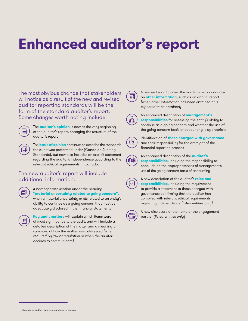# **Enhanced auditor's report**

The most obvious change that stakeholders will notice as a result of the new and revised auditor reporting standards will be the form of the standard auditor's report. Some changes worth noting include:



 The **auditor's opinion** is now at the very beginning of the auditor's report, changing the structure of the auditor's report.

 The **basis of opinion** continues to describe the standards the audit was performed under (Canadian Auditing Standards), but now also includes an explicit statement regarding the auditor's independence according to the relevant ethical requirements in Canada.

### The new auditor's report will include additional information:

A new separate section under the heading<br>**A** reverse section under the heading **"material uncertainty related to going concern",** when a material uncertainty exists related to an entity's ability to continue as a going concern that must be adequately disclosed in the financial statements



 **Key audit matters** will explain which items were of most significance to the audit, and will include a detailed description of the matter and a meaningful summary of how the matter was addressed *[when required by law or regulation or when the auditor decides to communicate]*

 A new inclusion to cover the auditor's work conducted on **other information,** such as an annual report *[when other information has been obtained or is expected to be obtained]*



 An enhanced description of **management's responsibilities** for assessing the entity's ability to continue as a going concern and whether the use of the going concern basis of accounting is appropriate



Identification of **those charged with governance**<br>and their responsibility for the oversight of the and their responsibility for the oversight of the financial reporting process

An enhanced description of the **auditor's**<br>**And interesponsibilities**, including the responsibilities **responsibilities,** including the responsibility to conclude on the appropriateness of management's use of the going concern basis of accounting



 A new description of the auditor's **roles and responsibilities,** including the requirement to provide a statement to those charged with governance confirming that the auditor has complied with relevant ethical requirements regarding independence *[listed entities only]*

**FulliP** 

**A** new disclosure of the name of the engagement partner *[listed entities only]*

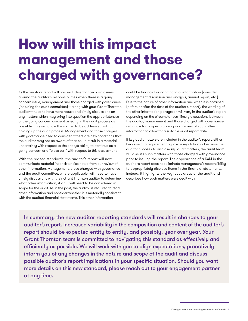### **How will this impact management and those charged with governance?**

As the auditor's report will now include enhanced disclosures around the auditor's responsibilities when there is a going concern issue, management and those charged with governance (including the audit committee)—along with your Grant Thornton auditor—need to have more robust and timely discussions on any matters which may bring into question the appropriateness of the going concern concept as early in the audit process as possible. This will allow the matter to be addressed without holding up the audit process. Management and those charged with governance need to consider if there are new conditions that the auditor may not be aware of that could result in a material uncertainty with respect to the entity's ability to continue as a going concern or a "close call" with respect to this assessment.

With the revised standards, the auditor's report will now communicate material inconsistencies noted from our review of other information. Management, those charged with governance and the audit committee, where applicable, will need to have timely discussions with their Grant Thornton auditor to determine what other information, if any, will need to be considered in scope for the audit. As in the past, the auditor is required to read other information and consider whether it is materially consistent with the audited financial statements. This other information

could be financial or non-financial information (consider management discussion and analysis, annual report, etc.). Due to the nature of other information and when it is obtained (before or after the date of the auditor's report), the wording of the other information paragraph will vary in the auditor's report depending on the circumstances. Timely discussions between the auditor, management and those charged with governance will allow for proper planning and review of such other information to allow for a suitable audit report date.

If key audit matters are included in the auditor's report, either because of a requirement by law or regulation or because the auditor chooses to disclose key audit matters, the audit team will discuss such matters with those charged with governance prior to issuing the report. The appearance of a KAM in the auditor's report does not eliminate management's responsibility to appropriately disclose items in the financial statements. Instead, it highlights the key focus areas of the audit and describes how such matters were dealt with.

In summary, the new auditor reporting standards will result in changes to your auditor's report. Increased variability in the composition and content of the auditor's report should be expected entity to entity, and possibly, year over year. Your Grant Thornton team is committed to navigating this standard as effectively and efficiently as possible. We will work with you to align expectations, proactively inform you of any changes in the nature and scope of the audit and discuss possible auditor's report implications in your specific situation. Should you want more details on this new standard, please reach out to your engagement partner at any time.

Changes to auditor reporting standards in Canada 5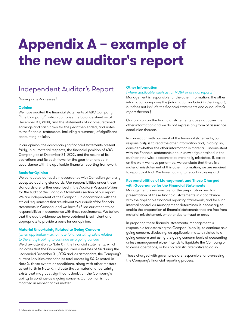## **Appendix A – example of the new auditor's report**

### Independent Auditor's Report

*[Appropriate Addressee]*

#### **Opinion**

We have audited the financial statements of ABC Company ("the Company"), which comprise the balance sheet as at December 31, 20XX, and the statements of income, retained earnings and cash flows for the year then ended, and notes to the financial statements, including a summary of significant accounting policies.

In our opinion, the accompanying financial statements present fairly, in all material respects, the financial position of ABC Company as at December 31, 20XX, and the results of its operations and its cash flows for the year then ended in accordance with the applicable financial reporting framework.[1](#page-6-0)

#### **Basis for Opinion**

We conducted our audit in accordance with Canadian generally accepted auditing standards. Our responsibilities under those standards are further described in the *Auditor's Responsibilities for the Audit of the Financial Statements* section of our report. We are independent of the Company in accordance with the ethical requirements that are relevant to our audit of the financial statements in Canada, and we have fulfilled our other ethical responsibilities in accordance with these requirements. We believe that the audit evidence we have obtained is sufficient and appropriate to provide a basis for our opinion.

#### **Material Uncertainty Related to Going Concern**

#### *[when applicable – i.e., a material uncertainty exists related to the entity's ability to continue as a going concern]<sup>2</sup>*

We draw attention to Note X in the financial statements, which indicates that the Company incurred a net loss of \$X during the year ended December 31, 20XX and, as at that date, the Company's current liabilities exceeded its total assets by \$X. As stated in Note X, these events or conditions, along with other matters as set forth in Note X, indicate that a material uncertainty exists that may cast significant doubt on the Company's ability to continue as a going concern. Our opinion is not modified in respect of this matter.

#### **Other Information**

*[where applicable, such as for MD&A or annual reports][2](#page-6-1)*

Management is responsible for the other information. The other information comprises the *[information included in the X report, but does not include the financial statements and our auditor's report thereon.]*

Our opinion on the financial statements does not cover the other information and we do not express any form of assurance conclusion thereon.

In connection with our audit of the financial statements, our responsibility is to read the other information and, in doing so, consider whether the other information is materially inconsistent with the financial statements or our knowledge obtained in the audit or otherwise appears to be materially misstated. If, based on the work we have performed, we conclude that there is a material misstatement of this other information, we are required to report that fact. We have nothing to report in this regard.

#### **Responsibilities of Management and Those Charged with Governance for the Financial Statements**

Management is responsible for the preparation and fair presentation of these financial statements in accordance with the applicable financial reporting framework, and for such internal control as management determines is necessary to enable the preparation of financial statements that are free from material misstatement, whether due to fraud or error.

In preparing these financial statements, management is responsible for assessing the Company's ability to continue as a going concern, disclosing, as applicable, matters related to a going concern and using the going concern basis of accounting unless management either intends to liquidate the Company or to cease operations, or has no realistic alternative to do so.

Those charged with governance are responsible for overseeing the Company's financial reporting process.

<sup>6</sup> Changes to auditor reporting standards in Canada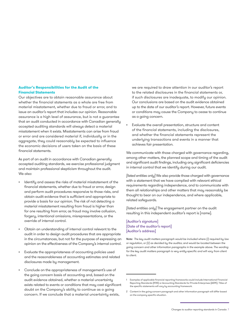#### **Auditor's Responsibilities for the Audit of the Financial Statements**

Our objectives are to obtain reasonable assurance about whether the financial statements as a whole are free from material misstatement, whether due to fraud or error, and to issue an auditor's report that includes our opinion. Reasonable assurance is a high level of assurance, but is not a guarantee that an audit conducted in accordance with Canadian generally accepted auditing standards will always detect a material misstatement when it exists. Misstatements can arise from fraud or error and are considered material if, individually or in the aggregate, they could reasonably be expected to influence the economic decisions of users taken on the basis of these financial statements.

As part of an audit in accordance with Canadian generally accepted auditing standards, we exercise professional judgment and maintain professional skepticism throughout the audit. We also:

- Identify and assess the risks of material misstatement of the financial statements, whether due to fraud or error, design and perform audit procedures responsive to those risks, and obtain audit evidence that is sufficient and appropriate to provide a basis for our opinion. The risk of not detecting a material misstatement resulting from fraud is higher than for one resulting from error, as fraud may involve collusion, forgery, intentional omissions, misrepresentations, or the override of internal control.
- Obtain an understanding of internal control relevant to the audit in order to design audit procedures that are appropriate in the circumstances, but not for the purpose of expressing an opinion on the effectiveness of the Company's internal control.
- Evaluate the appropriateness of accounting policies used and the reasonableness of accounting estimates and related disclosures made by management.
- Conclude on the appropriateness of management's use of the going concern basis of accounting and, based on the audit evidence obtained, whether a material uncertainty exists related to events or conditions that may cast significant doubt on the Company's ability to continue as a going concern. If we conclude that a material uncertainty exists,

we are required to draw attention in our auditor's report to the related disclosures in the financial statements or, if such disclosures are inadequate, to modify our opinion. Our conclusions are based on the audit evidence obtained up to the date of our auditor's report. However, future events or conditions may cause the Company to cease to continue as a going concern.

• Evaluate the overall presentation, structure and content of the financial statements, including the disclosures, and whether the financial statements represent the underlying transactions and events in a manner that achieves fair presentation.

We communicate with those charged with governance regarding, among other matters, the planned scope and timing of the audit and significant audit findings, including any significant deficiencies in internal control that we identify during our audit.

*[listed entities only]* We also provide those charged with governance with a statement that we have complied with relevant ethical requirements regarding independence, and to communicate with them all relationships and other matters that may reasonably be thought to bear on our independence, and where applicable, related safeguards.

*[listed entities only]* The engagement partner on the audit resulting in this independent auditor's report is [name].

#### [Auditor's signature] [Date of the auditor's report] [Auditor's address]

*Note: The key audit matters paragraph would be included where (i) required by law or regulation, or (ii) as decided by the auditor, and would be located between the going concern and other information paragraphs in the example above. The wording for the key audit matters paragraph is very entity-specific and will vary from client to client.*

<span id="page-6-0"></span><sup>1</sup> Examples of applicable financial reporting frameworks could include International Financial Reporting Standards (IFRS) or Accounting Standards for Private Enterprises (ASPE). Titles of the specific statements will vary by accounting framework.

<span id="page-6-1"></span><sup>2</sup> Content in the going concern paragraph and other information paragraph will differ based on the company specific situation.